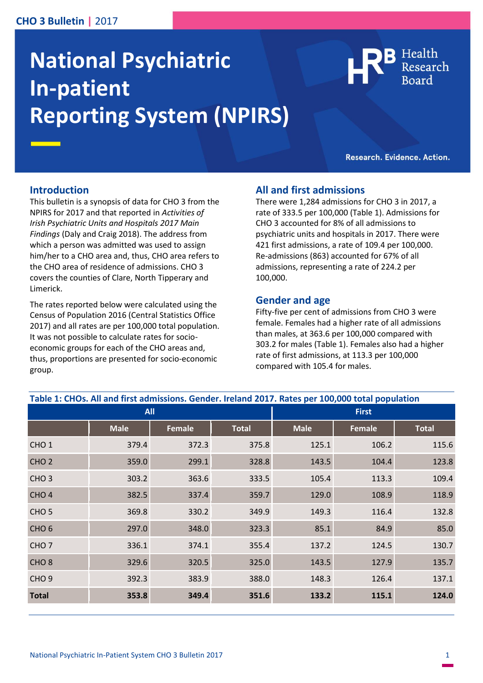# **CHO 3 Bulletin |** 2017

# **National Psychiatric In-patient Reporting System (NPIRS)**

Health

Research. Evidence. Action.

#### **Introduction**

This bulletin is a synopsis of data for CHO 3 from the NPIRS for 2017 and that reported in *Activities of Irish Psychiatric Units and Hospitals 2017 Main Findings* (Daly and Craig 2018). The address from which a person was admitted was used to assign him/her to a CHO area and, thus, CHO area refers to the CHO area of residence of admissions. CHO 3 covers the counties of Clare, North Tipperary and Limerick.

The rates reported below were calculated using the Census of Population 2016 (Central Statistics Office 2017) and all rates are per 100,000 total population. It was not possible to calculate rates for socioeconomic groups for each of the CHO areas and, thus, proportions are presented for socio-economic group.

## **All and first admissions**

There were 1,284 admissions for CHO 3 in 2017, a rate of 333.5 per 100,000 (Table 1). Admissions for CHO 3 accounted for 8% of all admissions to psychiatric units and hospitals in 2017. There were 421 first admissions, a rate of 109.4 per 100,000. Re-admissions (863) accounted for 67% of all admissions, representing a rate of 224.2 per 100,000.

#### **Gender and age**

Fifty-five per cent of admissions from CHO 3 were female. Females had a higher rate of all admissions than males, at 363.6 per 100,000 compared with 303.2 for males (Table 1). Females also had a higher rate of first admissions, at 113.3 per 100,000 compared with 105.4 for males.

| <u>aannoolono, Gerrael, helana</u><br><b>All</b> |             |        |              | n<br><u>cocal populación</u><br><b>First</b> |               |              |
|--------------------------------------------------|-------------|--------|--------------|----------------------------------------------|---------------|--------------|
|                                                  | <b>Male</b> | Female | <b>Total</b> | <b>Male</b>                                  | <b>Female</b> | <b>Total</b> |
| CHO <sub>1</sub>                                 | 379.4       | 372.3  | 375.8        | 125.1                                        | 106.2         | 115.6        |
| CHO <sub>2</sub>                                 | 359.0       | 299.1  | 328.8        | 143.5                                        | 104.4         | 123.8        |
| CHO <sub>3</sub>                                 | 303.2       | 363.6  | 333.5        | 105.4                                        | 113.3         | 109.4        |
| CHO <sub>4</sub>                                 | 382.5       | 337.4  | 359.7        | 129.0                                        | 108.9         | 118.9        |
| CHO <sub>5</sub>                                 | 369.8       | 330.2  | 349.9        | 149.3                                        | 116.4         | 132.8        |
| CHO <sub>6</sub>                                 | 297.0       | 348.0  | 323.3        | 85.1                                         | 84.9          | 85.0         |
| CHO <sub>7</sub>                                 | 336.1       | 374.1  | 355.4        | 137.2                                        | 124.5         | 130.7        |
| CHO <sub>8</sub>                                 | 329.6       | 320.5  | 325.0        | 143.5                                        | 127.9         | 135.7        |
| CHO <sub>9</sub>                                 | 392.3       | 383.9  | 388.0        | 148.3                                        | 126.4         | 137.1        |
| <b>Total</b>                                     | 353.8       | 349.4  | 351.6        | 133.2                                        | 115.1         | 124.0        |

**Table 1: CHOs. All and first admissions. Gender. Ireland 2017. Rates per 100,000 total population**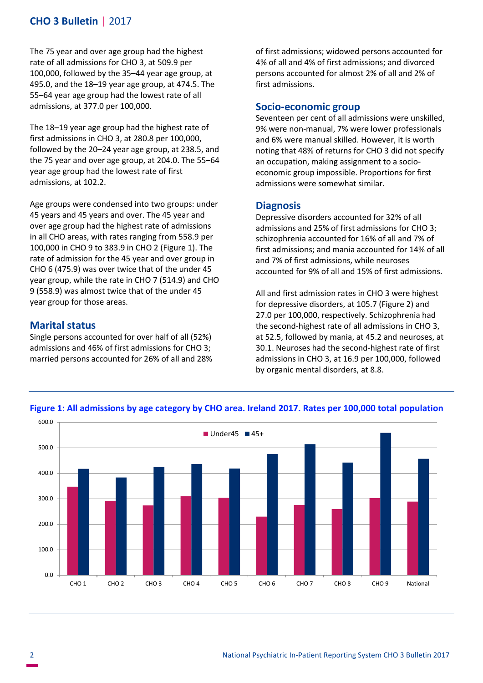# **CHO 3 Bulletin |** 2017

The 75 year and over age group had the highest rate of all admissions for CHO 3, at 509.9 per 100,000, followed by the 35–44 year age group, at 495.0, and the 18–19 year age group, at 474.5. The 55–64 year age group had the lowest rate of all admissions, at 377.0 per 100,000.

The 18–19 year age group had the highest rate of first admissions in CHO 3, at 280.8 per 100,000, followed by the 20–24 year age group, at 238.5, and the 75 year and over age group, at 204.0. The 55–64 year age group had the lowest rate of first admissions, at 102.2.

Age groups were condensed into two groups: under 45 years and 45 years and over. The 45 year and over age group had the highest rate of admissions in all CHO areas, with rates ranging from 558.9 per 100,000 in CHO 9 to 383.9 in CHO 2 (Figure 1). The rate of admission for the 45 year and over group in CHO 6 (475.9) was over twice that of the under 45 year group, while the rate in CHO 7 (514.9) and CHO 9 (558.9) was almost twice that of the under 45 year group for those areas.

# **Marital status**

Single persons accounted for over half of all (52%) admissions and 46% of first admissions for CHO 3; married persons accounted for 26% of all and 28% of first admissions; widowed persons accounted for 4% of all and 4% of first admissions; and divorced persons accounted for almost 2% of all and 2% of first admissions.

# **Socio-economic group**

Seventeen per cent of all admissions were unskilled, 9% were non-manual, 7% were lower professionals and 6% were manual skilled. However, it is worth noting that 48% of returns for CHO 3 did not specify an occupation, making assignment to a socioeconomic group impossible. Proportions for first admissions were somewhat similar.

## **Diagnosis**

Depressive disorders accounted for 32% of all admissions and 25% of first admissions for CHO 3; schizophrenia accounted for 16% of all and 7% of first admissions; and mania accounted for 14% of all and 7% of first admissions, while neuroses accounted for 9% of all and 15% of first admissions.

All and first admission rates in CHO 3 were highest for depressive disorders, at 105.7 (Figure 2) and 27.0 per 100,000, respectively. Schizophrenia had the second-highest rate of all admissions in CHO 3, at 52.5, followed by mania, at 45.2 and neuroses, at 30.1. Neuroses had the second-highest rate of first admissions in CHO 3, at 16.9 per 100,000, followed by organic mental disorders, at 8.8.



**Figure 1: All admissions by age category by CHO area. Ireland 2017. Rates per 100,000 total population**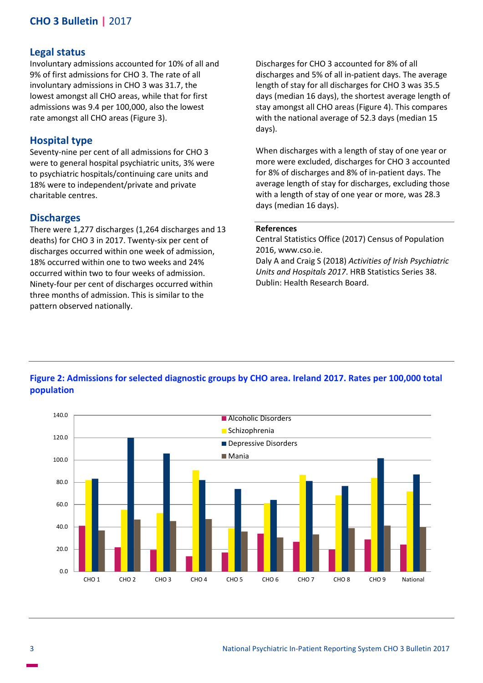# **CHO 3 Bulletin |** 2017

#### **Legal status**

Involuntary admissions accounted for 10% of all and 9% of first admissions for CHO 3. The rate of all involuntary admissions in CHO 3 was 31.7, the lowest amongst all CHO areas, while that for first admissions was 9.4 per 100,000, also the lowest rate amongst all CHO areas (Figure 3).

### **Hospital type**

Seventy-nine per cent of all admissions for CHO 3 were to general hospital psychiatric units, 3% were to psychiatric hospitals/continuing care units and 18% were to independent/private and private charitable centres.

#### **Discharges**

There were 1,277 discharges (1,264 discharges and 13 deaths) for CHO 3 in 2017. Twenty-six per cent of discharges occurred within one week of admission, 18% occurred within one to two weeks and 24% occurred within two to four weeks of admission. Ninety-four per cent of discharges occurred within three months of admission. This is similar to the pattern observed nationally.

Discharges for CHO 3 accounted for 8% of all discharges and 5% of all in-patient days. The average length of stay for all discharges for CHO 3 was 35.5 days (median 16 days), the shortest average length of stay amongst all CHO areas (Figure 4). This compares with the national average of 52.3 days (median 15 days).

When discharges with a length of stay of one year or more were excluded, discharges for CHO 3 accounted for 8% of discharges and 8% of in-patient days. The average length of stay for discharges, excluding those with a length of stay of one year or more, was 28.3 days (median 16 days).

#### **References**

Central Statistics Office (2017) Census of Population 2016, www.cso.ie.

Daly A and Craig S (2018) *Activities of Irish Psychiatric Units and Hospitals 2017*. HRB Statistics Series 38. Dublin: Health Research Board.

#### **Figure 2: Admissions for selected diagnostic groups by CHO area. Ireland 2017. Rates per 100,000 total population**